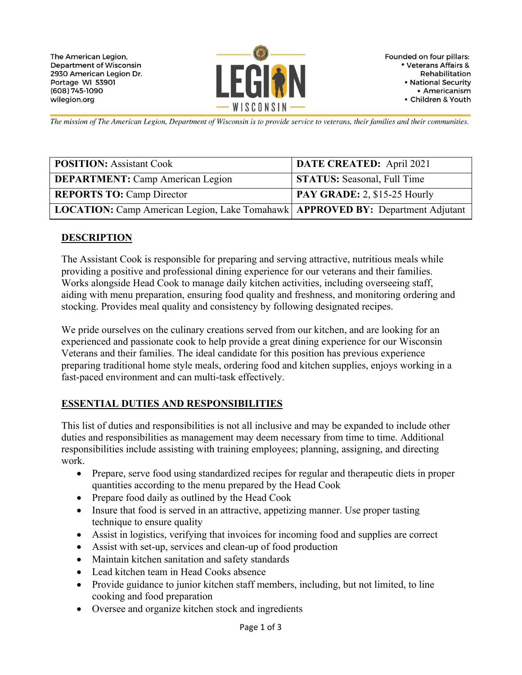

Founded on four pillars: • Veterans Affairs & Rehabilitation • National Security • Americanism • Children & Youth

The mission of The American Legion, Department of Wisconsin is to provide service to veterans, their families and their communities.

| <b>POSITION:</b> Assistant Cook                                                  | DATE CREATED: April 2021                  |
|----------------------------------------------------------------------------------|-------------------------------------------|
| <b>DEPARTMENT:</b> Camp American Legion                                          | <b>STATUS:</b> Seasonal, Full Time        |
| <b>REPORTS TO: Camp Director</b>                                                 | $\overline{PAY}$ GRADE: 2, \$15-25 Hourly |
| LOCATION: Camp American Legion, Lake Tomahawk   APPROVED BY: Department Adjutant |                                           |

#### **DESCRIPTION**

The Assistant Cook is responsible for preparing and serving attractive, nutritious meals while providing a positive and professional dining experience for our veterans and their families. Works alongside Head Cook to manage daily kitchen activities, including overseeing staff, aiding with menu preparation, ensuring food quality and freshness, and monitoring ordering and stocking. Provides meal quality and consistency by following designated recipes.

We pride ourselves on the culinary creations served from our kitchen, and are looking for an experienced and passionate cook to help provide a great dining experience for our Wisconsin Veterans and their families. The ideal candidate for this position has previous experience preparing traditional home style meals, ordering food and kitchen supplies, enjoys working in a fast-paced environment and can multi-task effectively.

### **ESSENTIAL DUTIES AND RESPONSIBILITIES**

This list of duties and responsibilities is not all inclusive and may be expanded to include other duties and responsibilities as management may deem necessary from time to time. Additional responsibilities include assisting with training employees; planning, assigning, and directing work.

- Prepare, serve food using standardized recipes for regular and therapeutic diets in proper quantities according to the menu prepared by the Head Cook
- Prepare food daily as outlined by the Head Cook
- Insure that food is served in an attractive, appetizing manner. Use proper tasting technique to ensure quality
- Assist in logistics, verifying that invoices for incoming food and supplies are correct
- Assist with set-up, services and clean-up of food production
- Maintain kitchen sanitation and safety standards
- Lead kitchen team in Head Cooks absence
- Provide guidance to junior kitchen staff members, including, but not limited, to line cooking and food preparation
- Oversee and organize kitchen stock and ingredients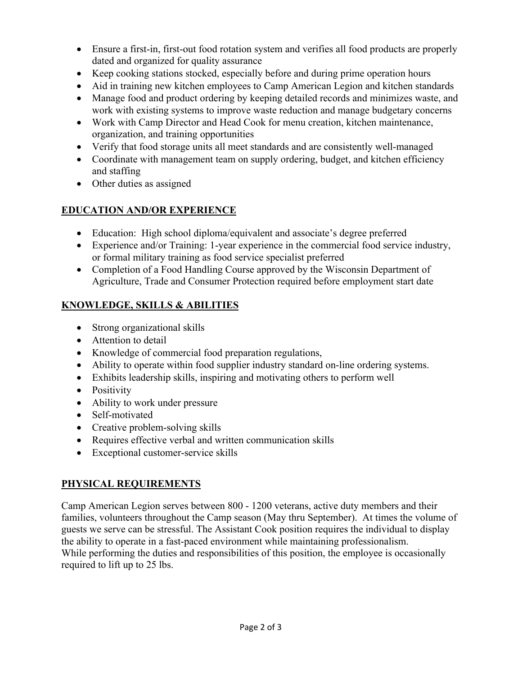- Ensure a first-in, first-out food rotation system and verifies all food products are properly dated and organized for quality assurance
- Keep cooking stations stocked, especially before and during prime operation hours
- Aid in training new kitchen employees to Camp American Legion and kitchen standards
- Manage food and product ordering by keeping detailed records and minimizes waste, and work with existing systems to improve waste reduction and manage budgetary concerns
- Work with Camp Director and Head Cook for menu creation, kitchen maintenance, organization, and training opportunities
- Verify that food storage units all meet standards and are consistently well-managed
- Coordinate with management team on supply ordering, budget, and kitchen efficiency and staffing
- Other duties as assigned

## **EDUCATION AND/OR EXPERIENCE**

- Education: High school diploma/equivalent and associate's degree preferred
- Experience and/or Training: 1-year experience in the commercial food service industry, or formal military training as food service specialist preferred
- Completion of a Food Handling Course approved by the Wisconsin Department of Agriculture, Trade and Consumer Protection required before employment start date

## **KNOWLEDGE, SKILLS & ABILITIES**

- Strong organizational skills
- Attention to detail
- Knowledge of commercial food preparation regulations,
- Ability to operate within food supplier industry standard on-line ordering systems.
- Exhibits leadership skills, inspiring and motivating others to perform well
- Positivity
- Ability to work under pressure
- Self-motivated
- Creative problem-solving skills
- Requires effective verbal and written communication skills
- Exceptional customer-service skills

## **PHYSICAL REQUIREMENTS**

Camp American Legion serves between 800 - 1200 veterans, active duty members and their families, volunteers throughout the Camp season (May thru September). At times the volume of guests we serve can be stressful. The Assistant Cook position requires the individual to display the ability to operate in a fast-paced environment while maintaining professionalism. While performing the duties and responsibilities of this position, the employee is occasionally required to lift up to 25 lbs.